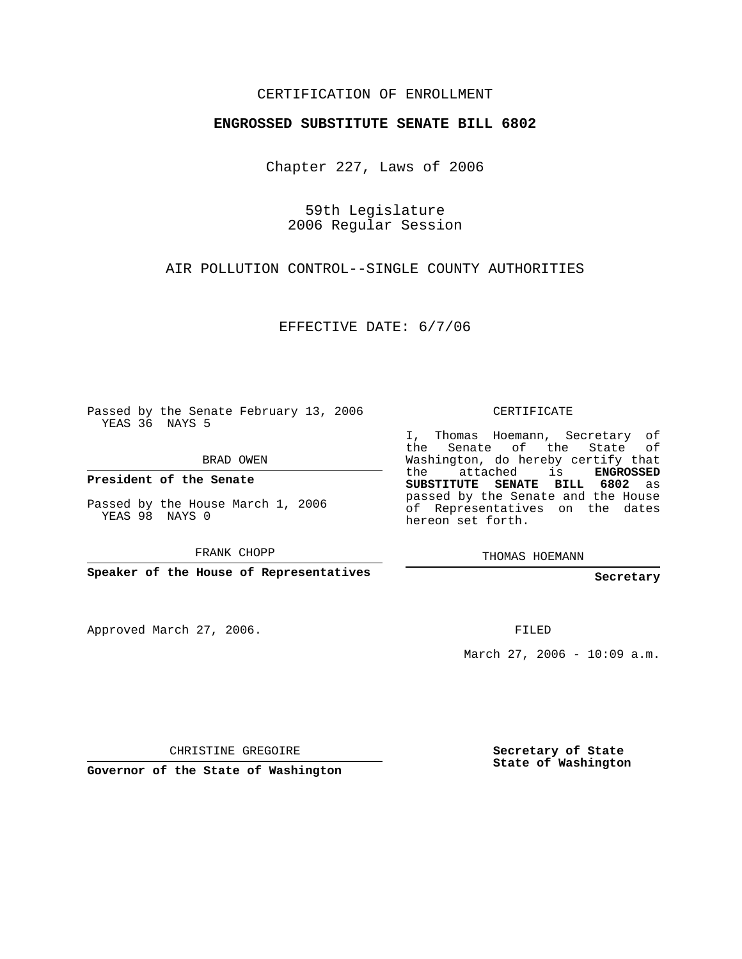## CERTIFICATION OF ENROLLMENT

## **ENGROSSED SUBSTITUTE SENATE BILL 6802**

Chapter 227, Laws of 2006

59th Legislature 2006 Regular Session

AIR POLLUTION CONTROL--SINGLE COUNTY AUTHORITIES

EFFECTIVE DATE: 6/7/06

Passed by the Senate February 13, 2006 YEAS 36 NAYS 5

BRAD OWEN

**President of the Senate**

Passed by the House March 1, 2006 YEAS 98 NAYS 0

FRANK CHOPP

**Speaker of the House of Representatives**

Approved March 27, 2006.

CERTIFICATE

I, Thomas Hoemann, Secretary of the Senate of the State of Washington, do hereby certify that the attached is **ENGROSSED SUBSTITUTE SENATE BILL 6802** as passed by the Senate and the House of Representatives on the dates hereon set forth.

THOMAS HOEMANN

**Secretary**

FILED

March 27, 2006 - 10:09 a.m.

CHRISTINE GREGOIRE

**Governor of the State of Washington**

**Secretary of State State of Washington**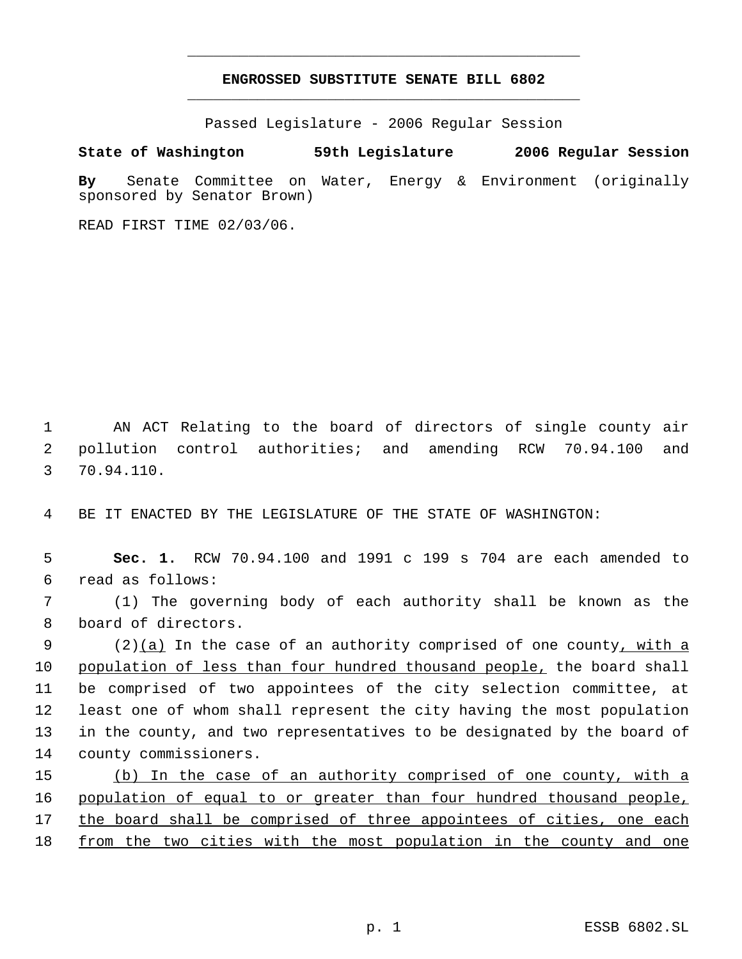## **ENGROSSED SUBSTITUTE SENATE BILL 6802** \_\_\_\_\_\_\_\_\_\_\_\_\_\_\_\_\_\_\_\_\_\_\_\_\_\_\_\_\_\_\_\_\_\_\_\_\_\_\_\_\_\_\_\_\_

\_\_\_\_\_\_\_\_\_\_\_\_\_\_\_\_\_\_\_\_\_\_\_\_\_\_\_\_\_\_\_\_\_\_\_\_\_\_\_\_\_\_\_\_\_

Passed Legislature - 2006 Regular Session

**State of Washington 59th Legislature 2006 Regular Session**

**By** Senate Committee on Water, Energy & Environment (originally sponsored by Senator Brown)

READ FIRST TIME 02/03/06.

 AN ACT Relating to the board of directors of single county air pollution control authorities; and amending RCW 70.94.100 and 70.94.110.

BE IT ENACTED BY THE LEGISLATURE OF THE STATE OF WASHINGTON:

 **Sec. 1.** RCW 70.94.100 and 1991 c 199 s 704 are each amended to read as follows:

 (1) The governing body of each authority shall be known as the board of directors.

9 (2)(a) In the case of an authority comprised of one county, with a population of less than four hundred thousand people, the board shall be comprised of two appointees of the city selection committee, at least one of whom shall represent the city having the most population in the county, and two representatives to be designated by the board of county commissioners.

 (b) In the case of an authority comprised of one county, with a population of equal to or greater than four hundred thousand people, the board shall be comprised of three appointees of cities, one each from the two cities with the most population in the county and one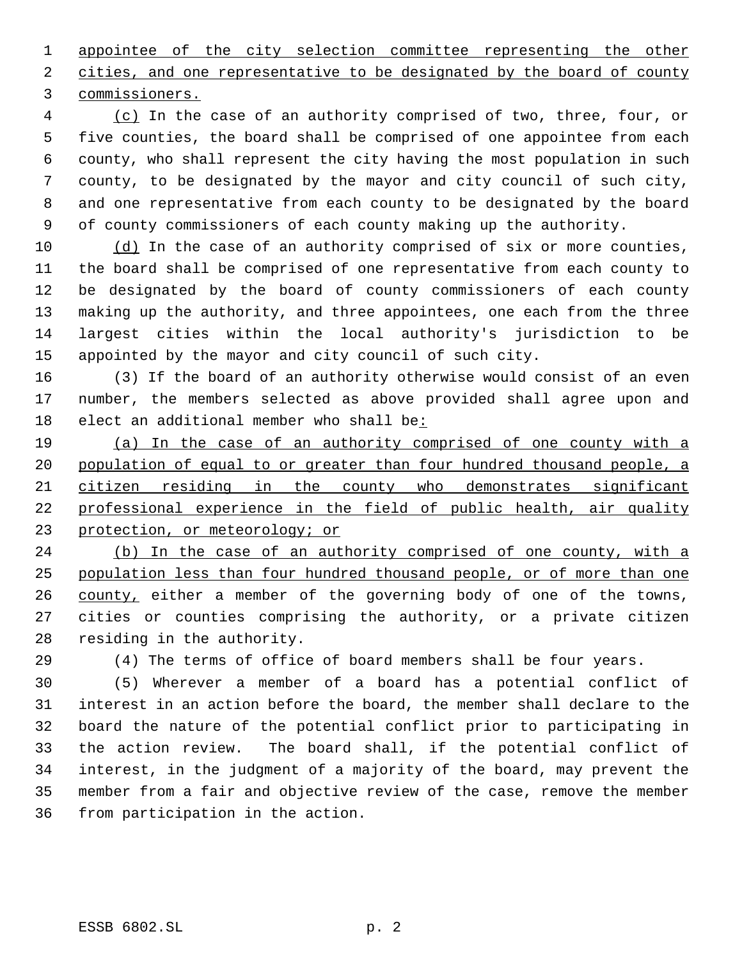appointee of the city selection committee representing the other 2 cities, and one representative to be designated by the board of county commissioners.

 (c) In the case of an authority comprised of two, three, four, or five counties, the board shall be comprised of one appointee from each county, who shall represent the city having the most population in such county, to be designated by the mayor and city council of such city, and one representative from each county to be designated by the board of county commissioners of each county making up the authority.

10 (d) In the case of an authority comprised of six or more counties, the board shall be comprised of one representative from each county to be designated by the board of county commissioners of each county making up the authority, and three appointees, one each from the three largest cities within the local authority's jurisdiction to be appointed by the mayor and city council of such city.

 (3) If the board of an authority otherwise would consist of an even number, the members selected as above provided shall agree upon and elect an additional member who shall be:

 (a) In the case of an authority comprised of one county with a 20 population of equal to or greater than four hundred thousand people, a citizen residing in the county who demonstrates significant professional experience in the field of public health, air quality protection, or meteorology; or

 (b) In the case of an authority comprised of one county, with a population less than four hundred thousand people, or of more than one 26 county, either a member of the governing body of one of the towns, cities or counties comprising the authority, or a private citizen residing in the authority.

(4) The terms of office of board members shall be four years.

 (5) Wherever a member of a board has a potential conflict of interest in an action before the board, the member shall declare to the board the nature of the potential conflict prior to participating in the action review. The board shall, if the potential conflict of interest, in the judgment of a majority of the board, may prevent the member from a fair and objective review of the case, remove the member from participation in the action.